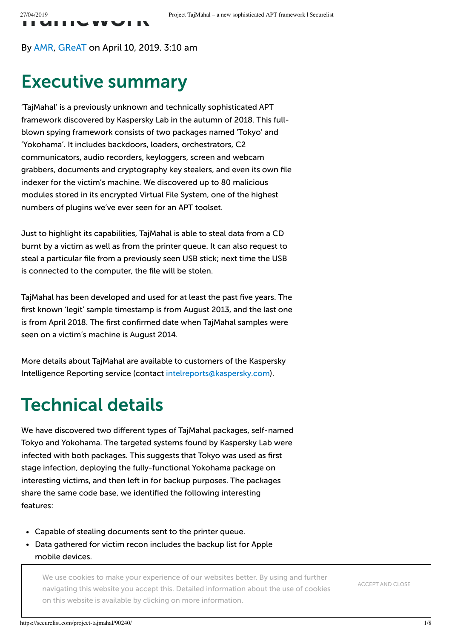By [AMR,](https://securelist.com/author/amr/) [GReAT](https://securelist.com/author/great/) on April 10, 2019. 3:10 am

#### Executive summary

'TajMahal' is a previously unknown and technically sophisticated APT framework discovered by Kaspersky Lab in the autumn of 2018. This fullblown spying framework consists of two packages named 'Tokyo' and 'Yokohama'. It includes backdoors, loaders, orchestrators, C2 communicators, audio recorders, keyloggers, screen and webcam grabbers, documents and cryptography key stealers, and even its own file indexer for the victim's machine. We discovered up to 80 malicious modules stored in its encrypted Virtual File System, one of the highest numbers of plugins we've ever seen for an APT toolset.

Just to highlight its capabilities, TajMahal is able to steal data from a CD burnt by a victim as well as from the printer queue. It can also request to steal a particular file from a previously seen USB stick; next time the USB is connected to the computer, the file will be stolen.

TajMahal has been developed and used for at least the past five years. The first known 'legit' sample timestamp is from August 2013, and the last one is from April 2018. The first confirmed date when TajMahal samples were seen on a victim's machine is August 2014.

More details about TajMahal are available to customers of the Kaspersky Intelligence Reporting service (contact [intelreports@kaspersky.com\)](mailto:intelreports@kaspersky.com).

### Technical details

We have discovered two different types of TajMahal packages, self-named Tokyo and Yokohama. The targeted systems found by Kaspersky Lab were infected with both packages. This suggests that Tokyo was used as first stage infection, deploying the fully-functional Yokohama package on interesting victims, and then left in for backup purposes. The packages share the same code base, we identified the following interesting features:

- Capable of stealing documents sent to the printer queue.
- Data gathered for victim recon includes the backup list for Apple mobile devices.

We use cookies to make your experience of our websites better. By using and further Capable of stealing files previously seen on removable drives once on this website is available by clicking on more [information](https://www.kaspersky.com/web-privacy-policy). navigating this website you accept this. Detailed information about the use of cookies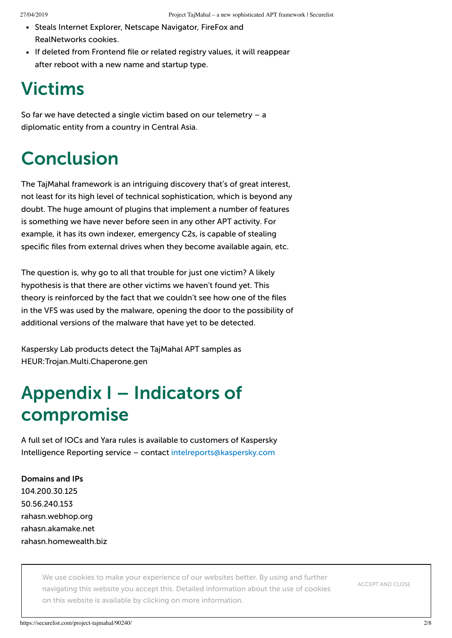- Steals Internet Explorer, Netscape Navigator, FireFox and RealNetworks cookies.
- If deleted from Frontend file or related registry values, it will reappear after reboot with a new name and startup type.

#### Victims

So far we have detected a single victim based on our telemetry – a diplomatic entity from a country in Central Asia.

# Conclusion

The TajMahal framework is an intriguing discovery that's of great interest, not least for its high level of technical sophistication, which is beyond any doubt. The huge amount of plugins that implement a number of features is something we have never before seen in any other APT activity. For example, it has its own indexer, emergency C2s, is capable of stealing specific files from external drives when they become available again, etc.

The question is, why go to all that trouble for just one victim? A likely hypothesis is that there are other victims we haven't found yet. This theory is reinforced by the fact that we couldn't see how one of the files in the VFS was used by the malware, opening the door to the possibility of additional versions of the malware that have yet to be detected.

Kaspersky Lab products detect the TajMahal APT samples as HEUR:Trojan.Multi.Chaperone.gen

## Appendix I – Indicators of compromise

A full set of IOCs and Yara rules is available to customers of Kaspersky Intelligence Reporting service – contact [intelreports@kaspersky.com](mailto:intelreports@kaspersky.com)

Domains and IPs 104.200.30.125 50.56.240.153 rahasn.webhop.org rahasn.akamake.net rahasn.homewealth.biz

File Hashes

We use cookies to make your experience of our websites better. By using and further navigating this website you accept this. Detailed information about the use of cookies on this website is available by clicking on more [information](https://www.kaspersky.com/web-privacy-policy).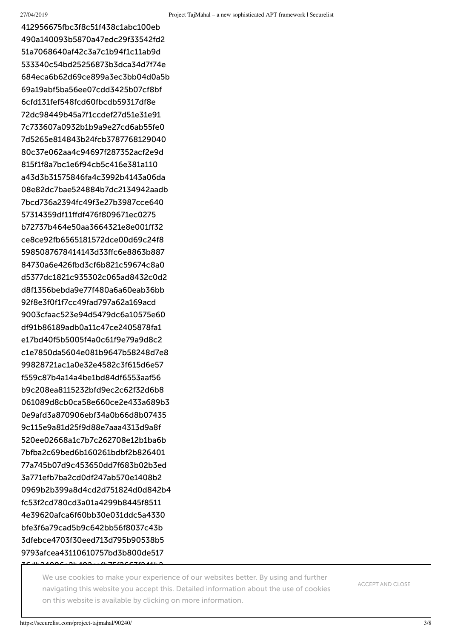412956675fbc3f8c51f438c1abc100eb 490a140093b5870a47edc29f33542fd2 51a7068640af42c3a7c1b94f1c11ab9d 533340c54bd25256873b3dca34d7f74e 684eca6b62d69ce899a3ec3bb04d0a5b 69a19abf5ba56ee07cdd3425b07cf8bf 6cfd131fef548fcd60fbcdb59317df8e 72dc98449b45a7f1ccdef27d51e31e91 7c733607a0932b1b9a9e27cd6ab55fe0 7d5265e814843b24fcb3787768129040 80c37e062aa4c94697f287352acf2e9d 815f1f8a7bc1e6f94cb5c416e381a110 a43d3b31575846fa4c3992b4143a06da 08e82dc7bae524884b7dc2134942aadb 7bcd736a2394fc49f3e27b3987cce640 57314359df11ffdf476f809671ec0275 b72737b464e50aa3664321e8e001ff32 ce8ce92fb6565181572dce00d69c24f8 5985087678414143d33ffc6e8863b887 84730a6e426fbd3cf6b821c59674c8a0 d5377dc1821c935302c065ad8432c0d2 d8f1356bebda9e77f480a6a60eab36bb 92f8e3f0f1f7cc49fad797a62a169acd 9003cfaac523e94d5479dc6a10575e60 df91b86189adb0a11c47ce2405878fa1 e17bd40f5b5005f4a0c61f9e79a9d8c2 c1e7850da5604e081b9647b58248d7e8 99828721ac1a0e32e4582c3f615d6e57 f559c87b4a14a4be1bd84df6553aaf56 b9c208ea8115232bfd9ec2c62f32d6b8 061089d8cb0ca58e660ce2e433a689b3 0e9afd3a870906ebf34a0b66d8b07435 9c115e9a81d25f9d88e7aaa4313d9a8f 520ee02668a1c7b7c262708e12b1ba6b 7bfba2c69bed6b160261bdbf2b826401 77a745b07d9c453650dd7f683b02b3ed 3a771efb7ba2cd0df247ab570e1408b2 0969b2b399a8d4cd2d751824d0d842b4 fc53f2cd780cd3a01a4299b8445f8511 4e39620afca6f60bb30e031ddc5a4330 bfe3f6a79cad5b9c642bb56f8037c43b 3dfebce4703f30eed713d795b90538b5 9793afcea43110610757bd3b800de517

**2166** We use cookies to make your experience of our websites better. By using and further navigating this website you accept this. Detailed information about the use of cookies on this website is available by clicking on more [information](https://www.kaspersky.com/web-privacy-policy).

ACCEPT AND CLOSE

3400Ce2b4006e4b7F62CC76244b2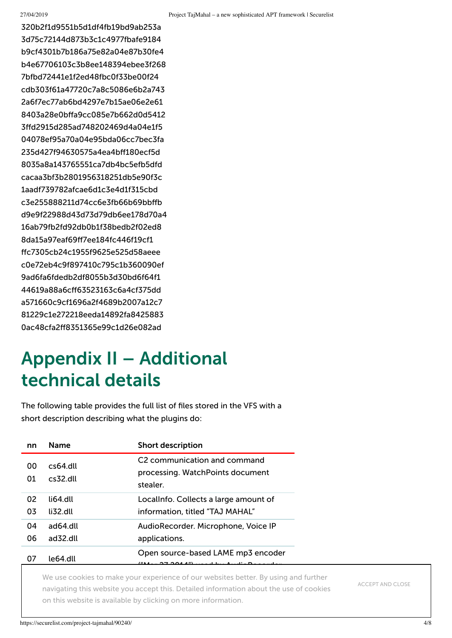320b2f1d9551b5d1df4fb19bd9ab253a 3d75c72144d873b3c1c4977fbafe9184 b9cf4301b7b186a75e82a04e87b30fe4 b4e67706103c3b8ee148394ebee3f268 7bfbd72441e1f2ed48fbc0f33be00f24 cdb303f61a47720c7a8c5086e6b2a743 2a6f7ec77ab6bd4297e7b15ae06e2e61 8403a28e0bffa9cc085e7b662d0d5412 3ffd2915d285ad748202469d4a04e1f5 04078ef95a70a04e95bda06cc7bec3fa 235d427f94630575a4ea4bff180ecf5d 8035a8a143765551ca7db4bc5efb5dfd cacaa3bf3b2801956318251db5e90f3c 1aadf739782afcae6d1c3e4d1f315cbd c3e255888211d74cc6e3fb66b69bbffb d9e9f22988d43d73d79db6ee178d70a4 16ab79fb2fd92db0b1f38bedb2f02ed8 8da15a97eaf69ff7ee184fc446f19cf1 ffc7305cb24c1955f9625e525d58aeee c0e72eb4c9f897410c795c1b360090ef 9ad6fa6fdedb2df8055b3d30bd6f64f1 44619a88a6cff63523163c6a4cf375dd a571660c9cf1696a2f4689b2007a12c7 81229c1e272218eeda14892fa8425883 0ac48cfa2ff8351365e99c1d26e082ad

# Appendix II – Additional technical details

The following table provides the full list of files stored in the VFS with a short description describing what the plugins do:

| nn       | <b>Name</b>                         | <b>Short description</b>                                                                 |
|----------|-------------------------------------|------------------------------------------------------------------------------------------|
| 00<br>01 | $cs64$ dll<br>$cs32$ dll            | C <sub>2</sub> communication and command<br>processing. WatchPoints document<br>stealer. |
| 02<br>03 | li64 dll<br>$\mu$ <sub>32</sub> dll | Locallnfo. Collects a large amount of<br>information, titled "TAJ MAHAL"                 |
| 04<br>06 | ad64.dll<br>ad32.dll                | AudioRecorder. Microphone, Voice IP<br>applications.                                     |
| 07       | le64.dll                            | Open source-based LAME mp3 encoder                                                       |

We use cookies to make your experience of our websites better. By using and further on this v navigating this website you accept this. Detailed information about the use of cookies on this website is available by clicking on more [information](https://www.kaspersky.com/web-privacy-policy).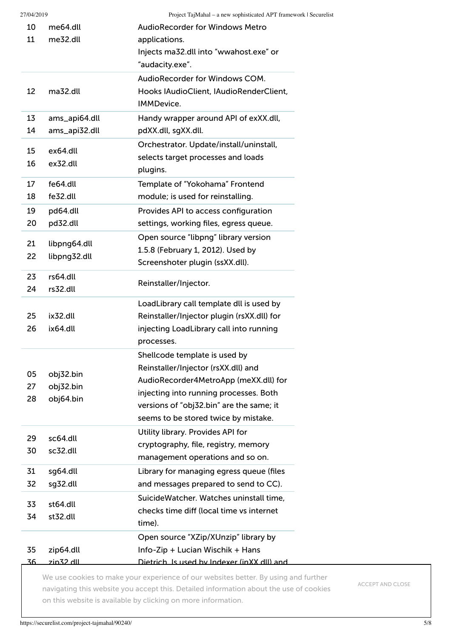| 10         | me64.dll      | <b>AudioRecorder for Windows Metro</b>                                          |
|------------|---------------|---------------------------------------------------------------------------------|
| 11         | me32.dll      | applications.                                                                   |
|            |               | Injects ma32.dll into "wwahost.exe" or                                          |
|            |               | "audacity.exe".                                                                 |
|            |               | AudioRecorder for Windows COM.                                                  |
| 12         | ma32.dll      | Hooks IAudioClient, IAudioRenderClient,                                         |
|            |               | <b>IMMDevice.</b>                                                               |
| 13         | ams_api64.dll | Handy wrapper around API of exXX.dll,                                           |
| 14         | ams_api32.dll | pdXX.dll, sgXX.dll.                                                             |
| 15         | ex64.dll      | Orchestrator. Update/install/uninstall,                                         |
| 16         | ex32.dll      | selects target processes and loads                                              |
|            |               | plugins.                                                                        |
| 17         | fe64.dll      | Template of "Yokohama" Frontend                                                 |
| 18         | fe32.dll      | module; is used for reinstalling.                                               |
| 19         | pd64.dll      | Provides API to access configuration                                            |
| 20         | pd32.dll      | settings, working files, egress queue.                                          |
| 21         | libpng64.dll  | Open source "libpng" library version                                            |
| 22         | libpng32.dll  | 1.5.8 (February 1, 2012). Used by                                               |
|            |               | Screenshoter plugin (ssXX.dll).                                                 |
| 23         | rs64.dll      | Reinstaller/Injector.                                                           |
| 24         | rs32.dll      |                                                                                 |
|            |               | LoadLibrary call template dll is used by                                        |
| 25         | ix32.dll      | Reinstaller/Injector plugin (rsXX.dll) for                                      |
| 26         | ix64.dll      | injecting LoadLibrary call into running                                         |
|            |               | processes.                                                                      |
|            |               | Shellcode template is used by                                                   |
| 05         | obj32.bin     | Reinstaller/Injector (rsXX.dll) and                                             |
| 27         | obj32.bin     | AudioRecorder4MetroApp (meXX.dll) for<br>injecting into running processes. Both |
| 28         | obj64.bin     | versions of "obj32.bin" are the same; it                                        |
|            |               | seems to be stored twice by mistake.                                            |
|            |               | Utility library. Provides API for                                               |
| 29         | sc64.dll      | cryptography, file, registry, memory                                            |
| 30         | sc32.dll      | management operations and so on.                                                |
| 31         | sg64.dll      | Library for managing egress queue (files                                        |
| 32         | sg32.dll      | and messages prepared to send to CC).                                           |
|            |               | SuicideWatcher. Watches uninstall time,                                         |
| 33         | st64.dll      | checks time diff (local time vs internet                                        |
| 34         | st32.dll      | time).                                                                          |
|            |               | Open source "XZip/XUnzip" library by                                            |
| 35         | zip64.dll     | Info-Zip + Lucian Wischik + Hans                                                |
| <u>36.</u> |               |                                                                                 |

We use cookies to make your experience of our websites better. By using and further navigating this website you accept this. Detailed information about the use of cookies on this website is available by clicking on more information.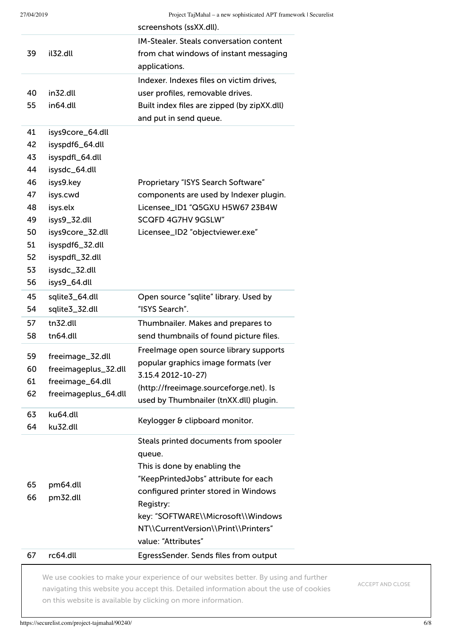| 27/04/2019 |                                                                   |
|------------|-------------------------------------------------------------------|
|            | Project TajMahal – a new sophisticated APT framework   Securelist |
|            |                                                                   |
|            |                                                                   |

| screenshots (ssXX.dll).<br><b>IM-Stealer. Steals conversation content</b><br>il32.dll<br>from chat windows of instant messaging<br>applications.<br>Indexer. Indexes files on victim drives,<br>user profiles, removable drives.<br>in32.dll<br>in64.dll<br>Built index files are zipped (by zipXX.dll)<br>and put in send queue.<br>isys9core_64.dll<br>isyspdf6_64.dll<br>isyspdfl_64.dll<br>isysdc_64.dll<br>isys9.key<br>Proprietary "ISYS Search Software"<br>isys.cwd<br>components are used by Indexer plugin.<br>isys.elx<br>Licensee_ID1 "Q5GXU H5W67 23B4W<br>isys9_32.dll<br><b>SCQFD 4G7HV 9GSLW"</b><br>isys9core_32.dll<br>Licensee_ID2 "objectviewer.exe"<br>isyspdf6_32.dll<br>isyspdfl_32.dll<br>isysdc_32.dll<br>isys9_64.dll<br>sqlite3_64.dll<br>Open source "sqlite" library. Used by<br>"ISYS Search".<br>sqlite3_32.dll<br>tn32.dll<br>Thumbnailer. Makes and prepares to<br>tn64.dll<br>send thumbnails of found picture files.<br>Freelmage open source library supports<br>freeimage_32.dll<br>popular graphics image formats (ver<br>freeimageplus_32.dll<br>3.15.4 2012-10-27)<br>freeimage_64.dll<br>(http://freeimage.sourceforge.net). Is<br>freeimageplus_64.dll<br>used by Thumbnailer (tnXX.dll) plugin.<br>ku64.dll<br>Keylogger & clipboard monitor.<br>ku32.dll<br>Steals printed documents from spooler<br>queue.<br>This is done by enabling the<br>"KeepPrintedJobs" attribute for each<br>pm64.dll<br>configured printer stored in Windows<br>pm32.dll<br>Registry:<br>key: "SOFTWARE\\Microsoft\\Windows<br>NT\\CurrentVersion\\Print\\Printers"<br>value: "Attributes"<br>rc64.dll<br>EgressSender. Sends files from output |          | roject rapmanar a new sophisticated in Financwork rocearchist |
|------------------------------------------------------------------------------------------------------------------------------------------------------------------------------------------------------------------------------------------------------------------------------------------------------------------------------------------------------------------------------------------------------------------------------------------------------------------------------------------------------------------------------------------------------------------------------------------------------------------------------------------------------------------------------------------------------------------------------------------------------------------------------------------------------------------------------------------------------------------------------------------------------------------------------------------------------------------------------------------------------------------------------------------------------------------------------------------------------------------------------------------------------------------------------------------------------------------------------------------------------------------------------------------------------------------------------------------------------------------------------------------------------------------------------------------------------------------------------------------------------------------------------------------------------------------------------------------------------------------------------------------------------------------------|----------|---------------------------------------------------------------|
|                                                                                                                                                                                                                                                                                                                                                                                                                                                                                                                                                                                                                                                                                                                                                                                                                                                                                                                                                                                                                                                                                                                                                                                                                                                                                                                                                                                                                                                                                                                                                                                                                                                                        |          |                                                               |
|                                                                                                                                                                                                                                                                                                                                                                                                                                                                                                                                                                                                                                                                                                                                                                                                                                                                                                                                                                                                                                                                                                                                                                                                                                                                                                                                                                                                                                                                                                                                                                                                                                                                        |          |                                                               |
|                                                                                                                                                                                                                                                                                                                                                                                                                                                                                                                                                                                                                                                                                                                                                                                                                                                                                                                                                                                                                                                                                                                                                                                                                                                                                                                                                                                                                                                                                                                                                                                                                                                                        | 39       |                                                               |
|                                                                                                                                                                                                                                                                                                                                                                                                                                                                                                                                                                                                                                                                                                                                                                                                                                                                                                                                                                                                                                                                                                                                                                                                                                                                                                                                                                                                                                                                                                                                                                                                                                                                        |          |                                                               |
|                                                                                                                                                                                                                                                                                                                                                                                                                                                                                                                                                                                                                                                                                                                                                                                                                                                                                                                                                                                                                                                                                                                                                                                                                                                                                                                                                                                                                                                                                                                                                                                                                                                                        | 40       |                                                               |
|                                                                                                                                                                                                                                                                                                                                                                                                                                                                                                                                                                                                                                                                                                                                                                                                                                                                                                                                                                                                                                                                                                                                                                                                                                                                                                                                                                                                                                                                                                                                                                                                                                                                        | 55       |                                                               |
|                                                                                                                                                                                                                                                                                                                                                                                                                                                                                                                                                                                                                                                                                                                                                                                                                                                                                                                                                                                                                                                                                                                                                                                                                                                                                                                                                                                                                                                                                                                                                                                                                                                                        |          |                                                               |
|                                                                                                                                                                                                                                                                                                                                                                                                                                                                                                                                                                                                                                                                                                                                                                                                                                                                                                                                                                                                                                                                                                                                                                                                                                                                                                                                                                                                                                                                                                                                                                                                                                                                        | 41<br>42 |                                                               |
|                                                                                                                                                                                                                                                                                                                                                                                                                                                                                                                                                                                                                                                                                                                                                                                                                                                                                                                                                                                                                                                                                                                                                                                                                                                                                                                                                                                                                                                                                                                                                                                                                                                                        | 43       |                                                               |
|                                                                                                                                                                                                                                                                                                                                                                                                                                                                                                                                                                                                                                                                                                                                                                                                                                                                                                                                                                                                                                                                                                                                                                                                                                                                                                                                                                                                                                                                                                                                                                                                                                                                        | 44       |                                                               |
|                                                                                                                                                                                                                                                                                                                                                                                                                                                                                                                                                                                                                                                                                                                                                                                                                                                                                                                                                                                                                                                                                                                                                                                                                                                                                                                                                                                                                                                                                                                                                                                                                                                                        |          |                                                               |
|                                                                                                                                                                                                                                                                                                                                                                                                                                                                                                                                                                                                                                                                                                                                                                                                                                                                                                                                                                                                                                                                                                                                                                                                                                                                                                                                                                                                                                                                                                                                                                                                                                                                        | 46<br>47 |                                                               |
|                                                                                                                                                                                                                                                                                                                                                                                                                                                                                                                                                                                                                                                                                                                                                                                                                                                                                                                                                                                                                                                                                                                                                                                                                                                                                                                                                                                                                                                                                                                                                                                                                                                                        | 48       |                                                               |
|                                                                                                                                                                                                                                                                                                                                                                                                                                                                                                                                                                                                                                                                                                                                                                                                                                                                                                                                                                                                                                                                                                                                                                                                                                                                                                                                                                                                                                                                                                                                                                                                                                                                        | 49       |                                                               |
|                                                                                                                                                                                                                                                                                                                                                                                                                                                                                                                                                                                                                                                                                                                                                                                                                                                                                                                                                                                                                                                                                                                                                                                                                                                                                                                                                                                                                                                                                                                                                                                                                                                                        | 50       |                                                               |
|                                                                                                                                                                                                                                                                                                                                                                                                                                                                                                                                                                                                                                                                                                                                                                                                                                                                                                                                                                                                                                                                                                                                                                                                                                                                                                                                                                                                                                                                                                                                                                                                                                                                        | 51       |                                                               |
|                                                                                                                                                                                                                                                                                                                                                                                                                                                                                                                                                                                                                                                                                                                                                                                                                                                                                                                                                                                                                                                                                                                                                                                                                                                                                                                                                                                                                                                                                                                                                                                                                                                                        | 52       |                                                               |
|                                                                                                                                                                                                                                                                                                                                                                                                                                                                                                                                                                                                                                                                                                                                                                                                                                                                                                                                                                                                                                                                                                                                                                                                                                                                                                                                                                                                                                                                                                                                                                                                                                                                        | 53       |                                                               |
|                                                                                                                                                                                                                                                                                                                                                                                                                                                                                                                                                                                                                                                                                                                                                                                                                                                                                                                                                                                                                                                                                                                                                                                                                                                                                                                                                                                                                                                                                                                                                                                                                                                                        | 56       |                                                               |
|                                                                                                                                                                                                                                                                                                                                                                                                                                                                                                                                                                                                                                                                                                                                                                                                                                                                                                                                                                                                                                                                                                                                                                                                                                                                                                                                                                                                                                                                                                                                                                                                                                                                        | 45       |                                                               |
|                                                                                                                                                                                                                                                                                                                                                                                                                                                                                                                                                                                                                                                                                                                                                                                                                                                                                                                                                                                                                                                                                                                                                                                                                                                                                                                                                                                                                                                                                                                                                                                                                                                                        | 54       |                                                               |
|                                                                                                                                                                                                                                                                                                                                                                                                                                                                                                                                                                                                                                                                                                                                                                                                                                                                                                                                                                                                                                                                                                                                                                                                                                                                                                                                                                                                                                                                                                                                                                                                                                                                        |          |                                                               |
|                                                                                                                                                                                                                                                                                                                                                                                                                                                                                                                                                                                                                                                                                                                                                                                                                                                                                                                                                                                                                                                                                                                                                                                                                                                                                                                                                                                                                                                                                                                                                                                                                                                                        |          |                                                               |
|                                                                                                                                                                                                                                                                                                                                                                                                                                                                                                                                                                                                                                                                                                                                                                                                                                                                                                                                                                                                                                                                                                                                                                                                                                                                                                                                                                                                                                                                                                                                                                                                                                                                        |          |                                                               |
|                                                                                                                                                                                                                                                                                                                                                                                                                                                                                                                                                                                                                                                                                                                                                                                                                                                                                                                                                                                                                                                                                                                                                                                                                                                                                                                                                                                                                                                                                                                                                                                                                                                                        | 60       |                                                               |
|                                                                                                                                                                                                                                                                                                                                                                                                                                                                                                                                                                                                                                                                                                                                                                                                                                                                                                                                                                                                                                                                                                                                                                                                                                                                                                                                                                                                                                                                                                                                                                                                                                                                        | 61       |                                                               |
|                                                                                                                                                                                                                                                                                                                                                                                                                                                                                                                                                                                                                                                                                                                                                                                                                                                                                                                                                                                                                                                                                                                                                                                                                                                                                                                                                                                                                                                                                                                                                                                                                                                                        | 62       |                                                               |
|                                                                                                                                                                                                                                                                                                                                                                                                                                                                                                                                                                                                                                                                                                                                                                                                                                                                                                                                                                                                                                                                                                                                                                                                                                                                                                                                                                                                                                                                                                                                                                                                                                                                        |          |                                                               |
|                                                                                                                                                                                                                                                                                                                                                                                                                                                                                                                                                                                                                                                                                                                                                                                                                                                                                                                                                                                                                                                                                                                                                                                                                                                                                                                                                                                                                                                                                                                                                                                                                                                                        | 63<br>64 |                                                               |
|                                                                                                                                                                                                                                                                                                                                                                                                                                                                                                                                                                                                                                                                                                                                                                                                                                                                                                                                                                                                                                                                                                                                                                                                                                                                                                                                                                                                                                                                                                                                                                                                                                                                        |          |                                                               |
|                                                                                                                                                                                                                                                                                                                                                                                                                                                                                                                                                                                                                                                                                                                                                                                                                                                                                                                                                                                                                                                                                                                                                                                                                                                                                                                                                                                                                                                                                                                                                                                                                                                                        |          |                                                               |
|                                                                                                                                                                                                                                                                                                                                                                                                                                                                                                                                                                                                                                                                                                                                                                                                                                                                                                                                                                                                                                                                                                                                                                                                                                                                                                                                                                                                                                                                                                                                                                                                                                                                        |          |                                                               |
|                                                                                                                                                                                                                                                                                                                                                                                                                                                                                                                                                                                                                                                                                                                                                                                                                                                                                                                                                                                                                                                                                                                                                                                                                                                                                                                                                                                                                                                                                                                                                                                                                                                                        | 65       |                                                               |
|                                                                                                                                                                                                                                                                                                                                                                                                                                                                                                                                                                                                                                                                                                                                                                                                                                                                                                                                                                                                                                                                                                                                                                                                                                                                                                                                                                                                                                                                                                                                                                                                                                                                        |          |                                                               |
|                                                                                                                                                                                                                                                                                                                                                                                                                                                                                                                                                                                                                                                                                                                                                                                                                                                                                                                                                                                                                                                                                                                                                                                                                                                                                                                                                                                                                                                                                                                                                                                                                                                                        |          |                                                               |
|                                                                                                                                                                                                                                                                                                                                                                                                                                                                                                                                                                                                                                                                                                                                                                                                                                                                                                                                                                                                                                                                                                                                                                                                                                                                                                                                                                                                                                                                                                                                                                                                                                                                        |          |                                                               |
|                                                                                                                                                                                                                                                                                                                                                                                                                                                                                                                                                                                                                                                                                                                                                                                                                                                                                                                                                                                                                                                                                                                                                                                                                                                                                                                                                                                                                                                                                                                                                                                                                                                                        |          |                                                               |
|                                                                                                                                                                                                                                                                                                                                                                                                                                                                                                                                                                                                                                                                                                                                                                                                                                                                                                                                                                                                                                                                                                                                                                                                                                                                                                                                                                                                                                                                                                                                                                                                                                                                        |          |                                                               |
|                                                                                                                                                                                                                                                                                                                                                                                                                                                                                                                                                                                                                                                                                                                                                                                                                                                                                                                                                                                                                                                                                                                                                                                                                                                                                                                                                                                                                                                                                                                                                                                                                                                                        | 67       |                                                               |

c due coomed to make your experience or our websited better. By du on this website is available by clicking on more [information](https://www.kaspersky.com/web-privacy-policy). WirelessNetwork keys, connected Apple We use cookies to make your experience of our websites better. By using and further navigating this website you accept this. Detailed information about the use of cookies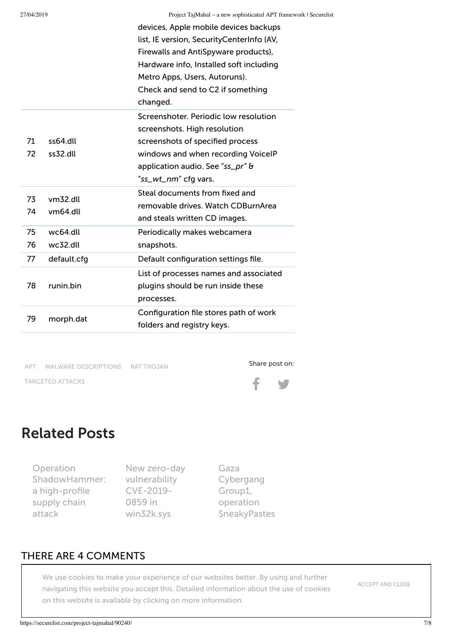|          |                      | roject rapmanar a new sophisticated TH T framework<br>devices, Apple mobile devices backups<br>list, IE version, SecurityCenterInfo (AV,<br>Firewalls and AntiSpyware products),<br>Hardware info, Installed soft including<br>Metro Apps, Users, Autoruns).<br>Check and send to C2 if something<br>changed. |
|----------|----------------------|---------------------------------------------------------------------------------------------------------------------------------------------------------------------------------------------------------------------------------------------------------------------------------------------------------------|
| 71<br>72 | ss64.dll<br>ss32.dll | Screenshoter, Periodic low resolution<br>screenshots. High resolution<br>screenshots of specified process<br>windows and when recording VoicelP<br>application audio. See "ss_pr" &<br>"ss_wt_nm" cfg vars.                                                                                                   |
| 73<br>74 | vm32.dll<br>vm64.dll | Steal documents from fixed and<br>removable drives. Watch CDBurnArea<br>and steals written CD images.                                                                                                                                                                                                         |
| 75       | wc64.dll             | Periodically makes webcamera                                                                                                                                                                                                                                                                                  |
| 76       | wc32.dll             | snapshots.                                                                                                                                                                                                                                                                                                    |
| 77       | default.cfg          | Default configuration settings file.                                                                                                                                                                                                                                                                          |
| 78       | runin.bin            | List of processes names and associated<br>plugins should be run inside these<br>processes.                                                                                                                                                                                                                    |
| 79       | morph.dat            | Configuration file stores path of work<br>folders and registry keys.                                                                                                                                                                                                                                          |

[APT](https://securelist.com/all?tag=538) MALWARE [DESCRIPTIONS](https://securelist.com/all?tag=123) RAT [TROJAN](https://securelist.com/all?tag=551) [TARGETED](https://securelist.com/all?tag=53) ATTACKS





#### Related Posts

Operation [ShadowHammer:](https://securelist.com/operation-shadowhammer-a-high-profile-supply-chain-attack/90380/) a high-profile supply chain attack

New zero-day [vulnerability](https://securelist.com/new-win32k-zero-day-cve-2019-0859/90435/) CVE-2019- 0859 in win32k.sys

Gaza Cybergang Group1, operation [SneakyPastes](https://securelist.com/gaza-cybergang-group1-operation-sneakypastes/90068/)

#### THERE ARE 4 COMMENTS

on this website is available by clicking on more [information](https://www.kaspersky.com/web-privacy-policy). We use cookies to make your experience of our websites better. By using and further navigating this website you accept this. Detailed information about the use of cookies